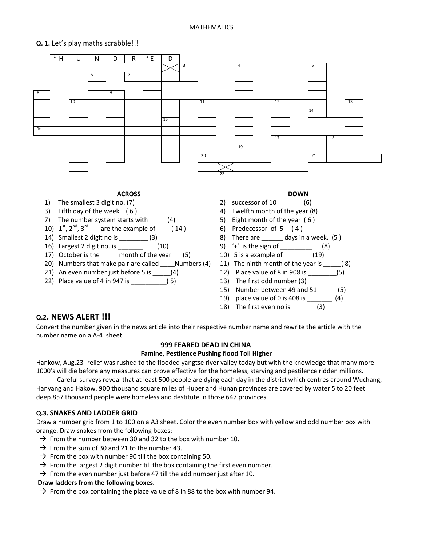#### MATHEMATICS

### **Q. 1.** Let's play maths scrabble!!!



18) The first even no is \_\_\_\_\_\_\_(3)

## **Q.2. NEWS ALERT !!!**

Convert the number given in the news article into their respective number name and rewrite the article with the number name on a A-4 sheet.

#### **999 FEARED DEAD IN CHINA**

#### **Famine, Pestilence Pushing flood Toll Higher**

Hankow, Aug.23- relief was rushed to the flooded yangtse river valley today but with the knowledge that many more 1000's will die before any measures can prove effective for the homeless, starving and pestilence ridden millions.

 Careful surveys reveal that at least 500 people are dying each day in the district which centres around Wuchang, Hanyang and Hakow. 900 thousand square miles of Huper and Hunan provinces are covered by water 5 to 20 feet deep.857 thousand people were homeless and destitute in those 647 provinces.

#### **Q.3. SNAKES AND LADDER GRID**

Draw a number grid from 1 to 100 on a A3 sheet. Color the even number box with yellow and odd number box with orange. Draw snakes from the following boxes:-

- $\rightarrow$  From the number between 30 and 32 to the box with number 10.
- $\rightarrow$  From the sum of 30 and 21 to the number 43.
- $\rightarrow$  From the box with number 90 till the box containing 50.
- $\rightarrow$  From the largest 2 digit number till the box containing the first even number.
- $\rightarrow$  From the even number just before 47 till the add number just after 10.

#### **Draw ladders from the following boxes**.

 $\rightarrow$  From the box containing the place value of 8 in 88 to the box with number 94.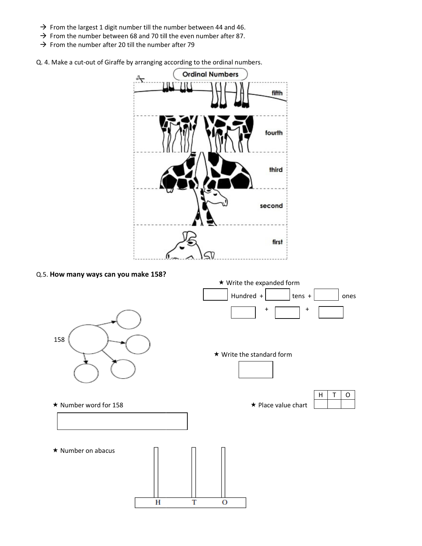- $\rightarrow$  From the largest 1 digit number till the number between 44 and 46.
- $\rightarrow$  From the largest 1 digit number till the number between 44 and 46.<br>  $\rightarrow$  From the number between 68 and 70 till the even number after 87.
- $\rightarrow$  From the number after 20 till the number after 79

→ From the number after 20 till the number after 79<br>Q. 4. Make a cut-out of Giraffe by arranging according to the ordinal numbers.



Q.5. **How many ways can you make 158? ?** 

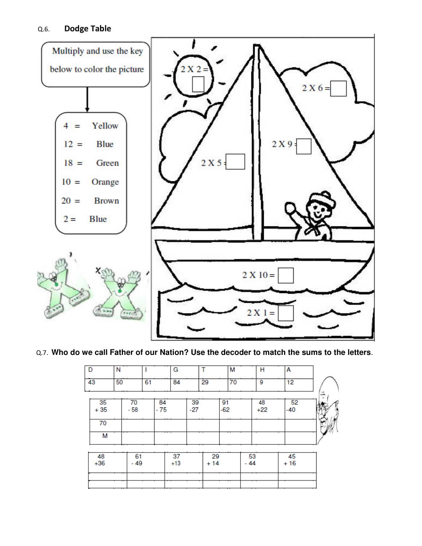

# Q.7. **Who do we call Father of our Nation? Use the decoder to match the sums to the letters** .

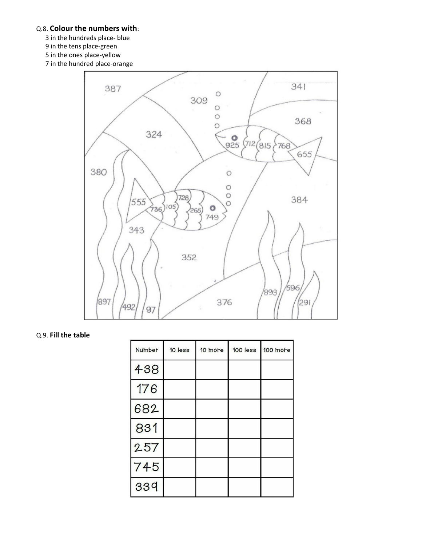# Q.8. **Colour the numbers with**:

- 3 in the hundreds place- blue
- 9 in the tens place-green
- 5 in the ones place-yellow
- 7 in the hundred place-orange



## Q.9. **Fill the table**

| Number | 10 less | 10 more | $100$ $less$ | 100 more |
|--------|---------|---------|--------------|----------|
| 438    |         |         |              |          |
| 176    |         |         |              |          |
| 682    |         |         |              |          |
| 831    |         |         |              |          |
| 257    |         |         |              |          |
| 745    |         |         |              |          |
| 339    |         |         |              |          |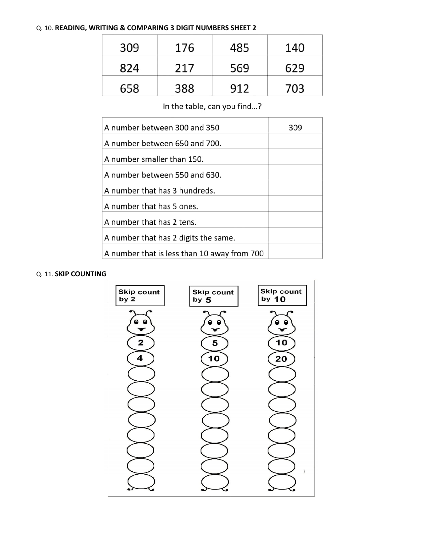## Q. 10. **READING, WRITING & COMPARING 3 DIGIT NUMBERS SHEET 2**

| 309 | 176 | 485 | 140 |
|-----|-----|-----|-----|
| 824 | 217 | 569 | 629 |
| 658 | 388 | 912 | 703 |

In the table, can you find...?

| A number between 300 and 350                | 309 |
|---------------------------------------------|-----|
| A number between 650 and 700.               |     |
| A number smaller than 150.                  |     |
| A number between 550 and 630.               |     |
| A number that has 3 hundreds.               |     |
| A number that has 5 ones.                   |     |
| A number that has 2 tens.                   |     |
| A number that has 2 digits the same.        |     |
| A number that is less than 10 away from 700 |     |

### Q. 11. **SKIP COUNTING**